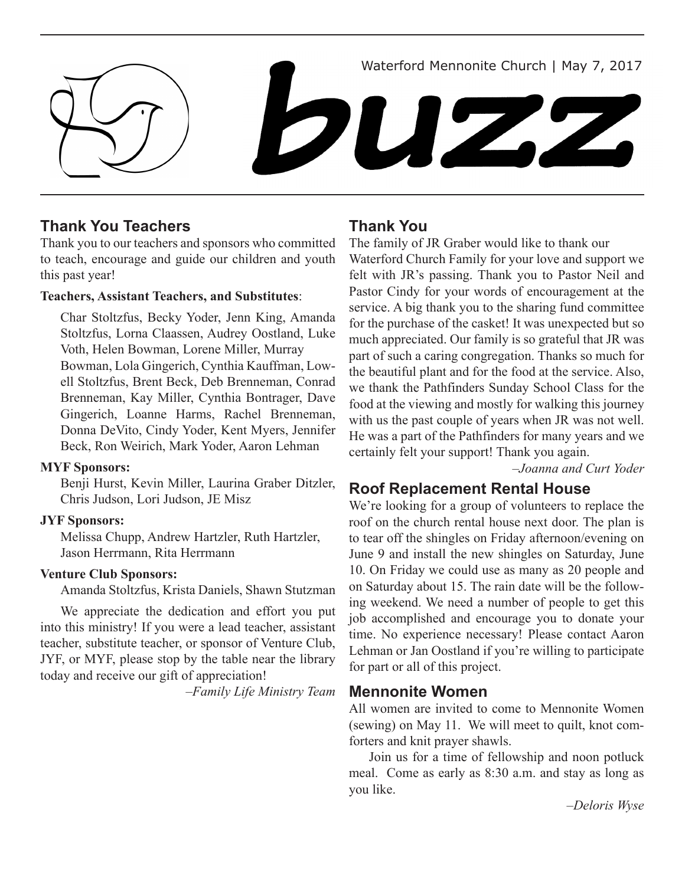



# **Thank You Teachers**

Thank you to our teachers and sponsors who committed to teach, encourage and guide our children and youth this past year!

### **Teachers, Assistant Teachers, and Substitutes**:

Char Stoltzfus, Becky Yoder, Jenn King, Amanda Stoltzfus, Lorna Claassen, Audrey Oostland, Luke Voth, Helen Bowman, Lorene Miller, Murray Bowman, Lola Gingerich, Cynthia Kauffman, Lowell Stoltzfus, Brent Beck, Deb Brenneman, Conrad Brenneman, Kay Miller, Cynthia Bontrager, Dave Gingerich, Loanne Harms, Rachel Brenneman, Donna DeVito, Cindy Yoder, Kent Myers, Jennifer Beck, Ron Weirich, Mark Yoder, Aaron Lehman

### **MYF Sponsors:**

Benji Hurst, Kevin Miller, Laurina Graber Ditzler, Chris Judson, Lori Judson, JE Misz

### **JYF Sponsors:**

Melissa Chupp, Andrew Hartzler, Ruth Hartzler, Jason Herrmann, Rita Herrmann

### **Venture Club Sponsors:**

Amanda Stoltzfus, Krista Daniels, Shawn Stutzman

We appreciate the dedication and effort you put into this ministry! If you were a lead teacher, assistant teacher, substitute teacher, or sponsor of Venture Club, JYF, or MYF, please stop by the table near the library today and receive our gift of appreciation!

*–Family Life Ministry Team* **Mennonite Women**

# **Thank You**

The family of JR Graber would like to thank our Waterford Church Family for your love and support we felt with JR's passing. Thank you to Pastor Neil and Pastor Cindy for your words of encouragement at the service. A big thank you to the sharing fund committee for the purchase of the casket! It was unexpected but so much appreciated. Our family is so grateful that JR was part of such a caring congregation. Thanks so much for the beautiful plant and for the food at the service. Also, we thank the Pathfinders Sunday School Class for the food at the viewing and mostly for walking this journey with us the past couple of years when JR was not well. He was a part of the Pathfinders for many years and we certainly felt your support! Thank you again.

*–Joanna and Curt Yoder*

# **Roof Replacement Rental House**

We're looking for a group of volunteers to replace the roof on the church rental house next door. The plan is to tear off the shingles on Friday afternoon/evening on June 9 and install the new shingles on Saturday, June 10. On Friday we could use as many as 20 people and on Saturday about 15. The rain date will be the following weekend. We need a number of people to get this job accomplished and encourage you to donate your time. No experience necessary! Please contact Aaron Lehman or Jan Oostland if you're willing to participate for part or all of this project.

All women are invited to come to Mennonite Women (sewing) on May 11. We will meet to quilt, knot comforters and knit prayer shawls.

Join us for a time of fellowship and noon potluck meal. Come as early as 8:30 a.m. and stay as long as you like.

*–Deloris Wyse*